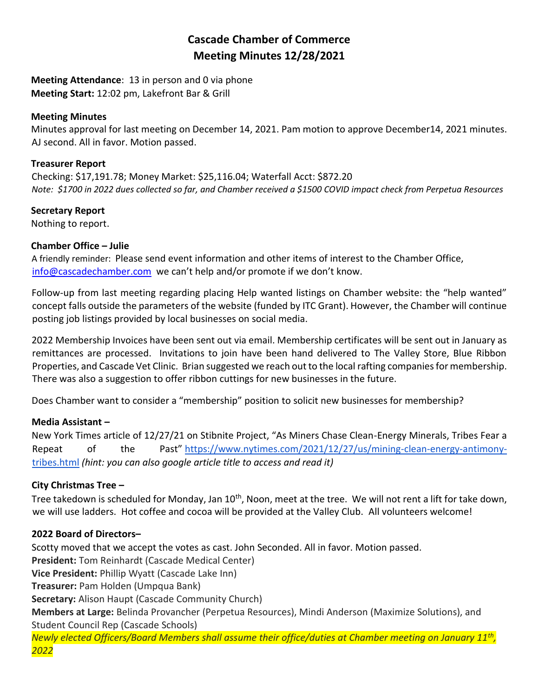# **Cascade Chamber of Commerce Meeting Minutes 12/28/2021**

**Meeting Attendance**: 13 in person and 0 via phone **Meeting Start:** 12:02 pm, Lakefront Bar & Grill

#### **Meeting Minutes**

Minutes approval for last meeting on December 14, 2021. Pam motion to approve December14, 2021 minutes. AJ second. All in favor. Motion passed.

### **Treasurer Report**

Checking: \$17,191.78; Money Market: \$25,116.04; Waterfall Acct: \$872.20 *Note: \$1700 in 2022 dues collected so far, and Chamber received a \$1500 COVID impact check from Perpetua Resources*

# **Secretary Report**

Nothing to report.

# **Chamber Office – Julie**

A friendly reminder: Please send event information and other items of interest to the Chamber Office, [info@cascadechamber.com](mailto:info@cascadechamber.com) we can't help and/or promote if we don't know.

Follow-up from last meeting regarding placing Help wanted listings on Chamber website: the "help wanted" concept falls outside the parameters of the website (funded by ITC Grant). However, the Chamber will continue posting job listings provided by local businesses on social media.

2022 Membership Invoices have been sent out via email. Membership certificates will be sent out in January as remittances are processed. Invitations to join have been hand delivered to The Valley Store, Blue Ribbon Properties, and Cascade Vet Clinic. Brian suggested we reach out to the local rafting companies for membership. There was also a suggestion to offer ribbon cuttings for new businesses in the future.

Does Chamber want to consider a "membership" position to solicit new businesses for membership?

# **Media Assistant –**

New York Times article of 12/27/21 on Stibnite Project, "As Miners Chase Clean-Energy Minerals, Tribes Fear a Repeat of the Past" [https://www.nytimes.com/2021/12/27/us/mining-clean-energy-antimony](https://www.nytimes.com/2021/12/27/us/mining-clean-energy-antimony-tribes.html)[tribes.html](https://www.nytimes.com/2021/12/27/us/mining-clean-energy-antimony-tribes.html) *(hint: you can also google article title to access and read it)*

# **City Christmas Tree –**

Tree takedown is scheduled for Monday, Jan 10<sup>th</sup>, Noon, meet at the tree. We will not rent a lift for take down, we will use ladders. Hot coffee and cocoa will be provided at the Valley Club. All volunteers welcome!

# **2022 Board of Directors–**

Scotty moved that we accept the votes as cast. John Seconded. All in favor. Motion passed. **President:** Tom Reinhardt (Cascade Medical Center) **Vice President:** Phillip Wyatt (Cascade Lake Inn) **Treasurer:** Pam Holden (Umpqua Bank) **Secretary:** Alison Haupt (Cascade Community Church) **Members at Large:** Belinda Provancher (Perpetua Resources), Mindi Anderson (Maximize Solutions), and Student Council Rep (Cascade Schools) *Newly elected Officers/Board Members shall assume their office/duties at Chamber meeting on January 11th , 2022*